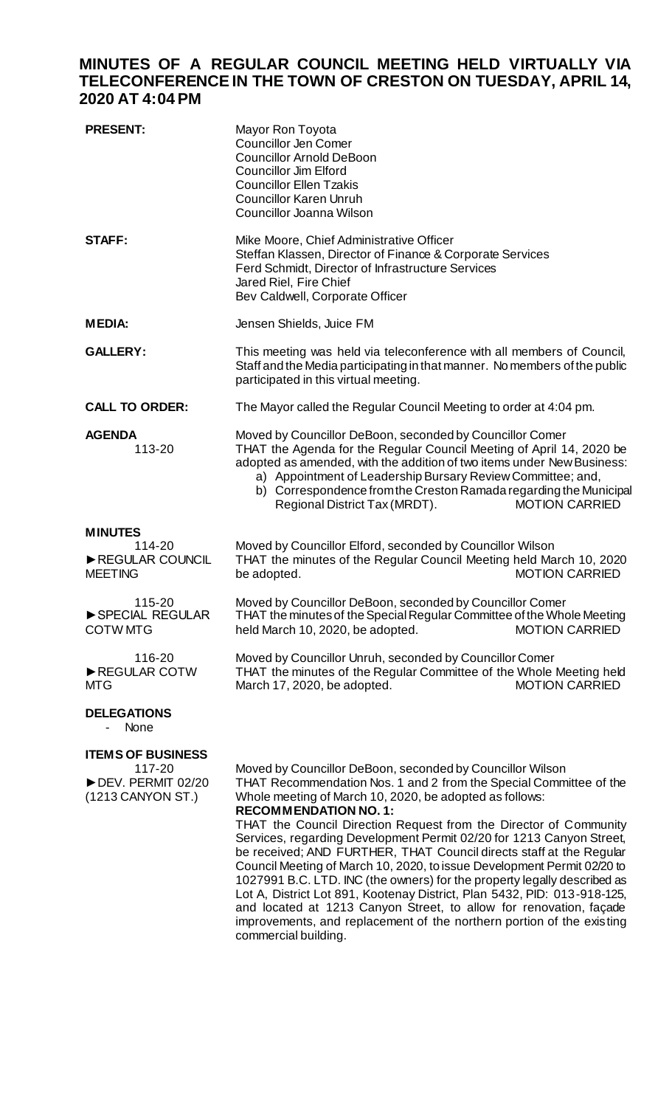## **MINUTES OF A REGULAR COUNCIL MEETING HELD VIRTUALLY VIA TELECONFERENCE IN THE TOWN OF CRESTON ON TUESDAY, APRIL 14, 2020 AT 4:04PM**

| <b>PRESENT:</b>                                                              | Mayor Ron Toyota<br><b>Councillor Jen Comer</b><br><b>Councillor Arnold DeBoon</b><br><b>Councillor Jim Elford</b><br><b>Councillor Ellen Tzakis</b><br><b>Councillor Karen Unruh</b><br>Councillor Joanna Wilson                                                                                                                                                                                                                                                                                                                                                                                                                                                                                                                                       |
|------------------------------------------------------------------------------|---------------------------------------------------------------------------------------------------------------------------------------------------------------------------------------------------------------------------------------------------------------------------------------------------------------------------------------------------------------------------------------------------------------------------------------------------------------------------------------------------------------------------------------------------------------------------------------------------------------------------------------------------------------------------------------------------------------------------------------------------------|
| <b>STAFF:</b>                                                                | Mike Moore, Chief Administrative Officer<br>Steffan Klassen, Director of Finance & Corporate Services<br>Ferd Schmidt, Director of Infrastructure Services<br>Jared Riel, Fire Chief<br>Bev Caldwell, Corporate Officer                                                                                                                                                                                                                                                                                                                                                                                                                                                                                                                                 |
| <b>MEDIA:</b>                                                                | Jensen Shields, Juice FM                                                                                                                                                                                                                                                                                                                                                                                                                                                                                                                                                                                                                                                                                                                                |
| <b>GALLERY:</b>                                                              | This meeting was held via teleconference with all members of Council,<br>Staff and the Media participating in that manner. No members of the public<br>participated in this virtual meeting.                                                                                                                                                                                                                                                                                                                                                                                                                                                                                                                                                            |
| <b>CALL TO ORDER:</b>                                                        | The Mayor called the Regular Council Meeting to order at 4:04 pm.                                                                                                                                                                                                                                                                                                                                                                                                                                                                                                                                                                                                                                                                                       |
| <b>AGENDA</b><br>113-20                                                      | Moved by Councillor DeBoon, seconded by Councillor Comer<br>THAT the Agenda for the Regular Council Meeting of April 14, 2020 be<br>adopted as amended, with the addition of two items under New Business:<br>a) Appointment of Leadership Bursary Review Committee; and,<br>b) Correspondence from the Creston Ramada regarding the Municipal<br><b>MOTION CARRIED</b><br>Regional District Tax (MRDT).                                                                                                                                                                                                                                                                                                                                                |
| <b>MINUTES</b><br>114-20<br>REGULAR COUNCIL<br><b>MEETING</b>                | Moved by Councillor Elford, seconded by Councillor Wilson<br>THAT the minutes of the Regular Council Meeting held March 10, 2020<br><b>MOTION CARRIED</b><br>be adopted.                                                                                                                                                                                                                                                                                                                                                                                                                                                                                                                                                                                |
| 115-20<br>SPECIAL REGULAR<br><b>COTW MTG</b>                                 | Moved by Councillor DeBoon, seconded by Councillor Comer<br>THAT the minutes of the Special Regular Committee of the Whole Meeting<br>held March 10, 2020, be adopted.<br><b>MOTION CARRIED</b>                                                                                                                                                                                                                                                                                                                                                                                                                                                                                                                                                         |
| 116-20<br>REGULAR COTW<br>MTG                                                | Moved by Councillor Unruh, seconded by Councillor Comer<br>THAT the minutes of the Regular Committee of the Whole Meeting held<br>March 17, 2020, be adopted.<br><b>MOTION CARRIED</b>                                                                                                                                                                                                                                                                                                                                                                                                                                                                                                                                                                  |
| <b>DELEGATIONS</b><br><b>None</b>                                            |                                                                                                                                                                                                                                                                                                                                                                                                                                                                                                                                                                                                                                                                                                                                                         |
| <b>ITEMS OF BUSINESS</b><br>117-20<br>DEV. PERMIT 02/20<br>(1213 CANYON ST.) | Moved by Councillor DeBoon, seconded by Councillor Wilson<br>THAT Recommendation Nos. 1 and 2 from the Special Committee of the<br>Whole meeting of March 10, 2020, be adopted as follows:<br><b>RECOMMENDATION NO. 1:</b><br>THAT the Council Direction Request from the Director of Community<br>Services, regarding Development Permit 02/20 for 1213 Canyon Street,<br>be received; AND FURTHER, THAT Council directs staff at the Regular<br>Council Meeting of March 10, 2020, to issue Development Permit 02/20 to<br>1027991 B.C. LTD. INC (the owners) for the property legally described as<br>Lot A, District Lot 891, Kootenay District, Plan 5432, PID: 013-918-125,<br>and located at 1213 Canyon Street, to allow for renovation, façade |

improvements, and replacement of the northern portion of the existing commercial building.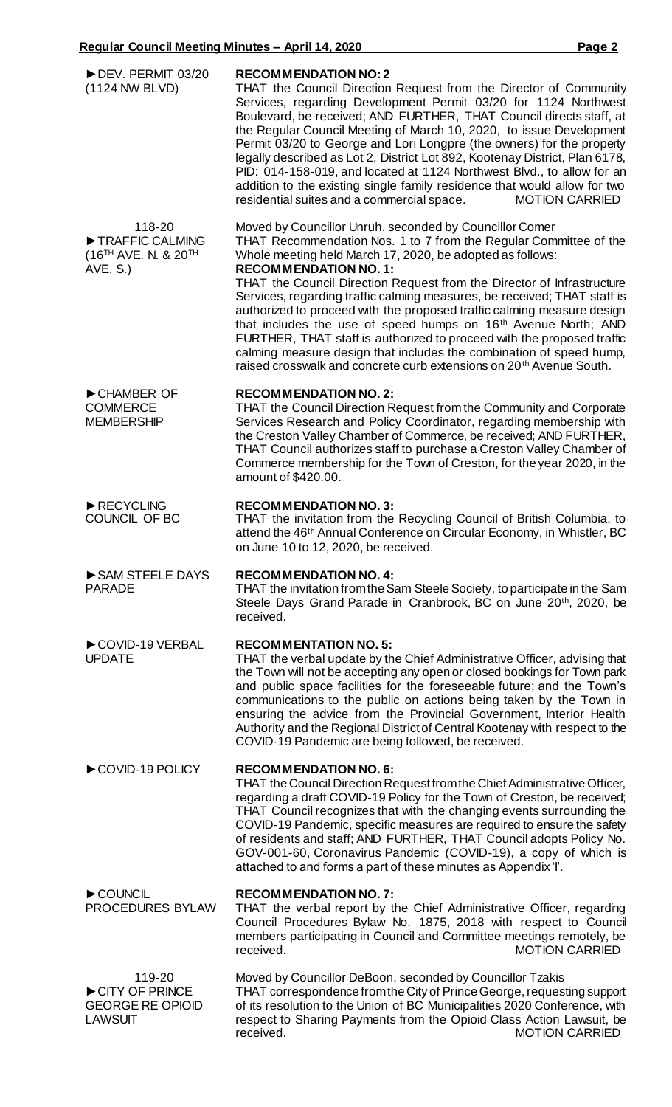| DEV. PERMIT 03/20<br>(1124 NW BLVD)                                     | <b>RECOMMENDATION NO: 2</b><br>THAT the Council Direction Request from the Director of Community<br>Services, regarding Development Permit 03/20 for 1124 Northwest<br>Boulevard, be received; AND FURTHER, THAT Council directs staff, at<br>the Regular Council Meeting of March 10, 2020, to issue Development<br>Permit 03/20 to George and Lori Longpre (the owners) for the property<br>legally described as Lot 2, District Lot 892, Kootenay District, Plan 6178,<br>PID: 014-158-019, and located at 1124 Northwest Blvd., to allow for an<br>addition to the existing single family residence that would allow for two<br><b>MOTION CARRIED</b><br>residential suites and a commercial space.                                                                     |
|-------------------------------------------------------------------------|-----------------------------------------------------------------------------------------------------------------------------------------------------------------------------------------------------------------------------------------------------------------------------------------------------------------------------------------------------------------------------------------------------------------------------------------------------------------------------------------------------------------------------------------------------------------------------------------------------------------------------------------------------------------------------------------------------------------------------------------------------------------------------|
| 118-20<br>TRAFFIC CALMING<br>$(16^{TH}$ AVE. N. & $20^{TH}$<br>AVE. S.) | Moved by Councillor Unruh, seconded by Councillor Comer<br>THAT Recommendation Nos. 1 to 7 from the Regular Committee of the<br>Whole meeting held March 17, 2020, be adopted as follows:<br><b>RECOMMENDATION NO. 1:</b><br>THAT the Council Direction Request from the Director of Infrastructure<br>Services, regarding traffic calming measures, be received; THAT staff is<br>authorized to proceed with the proposed traffic calming measure design<br>that includes the use of speed humps on 16 <sup>th</sup> Avenue North; AND<br>FURTHER, THAT staff is authorized to proceed with the proposed traffic<br>calming measure design that includes the combination of speed hump,<br>raised crosswalk and concrete curb extensions on 20 <sup>th</sup> Avenue South. |
| CHAMBER OF<br><b>COMMERCE</b><br><b>MEMBERSHIP</b>                      | <b>RECOMMENDATION NO. 2:</b><br>THAT the Council Direction Request from the Community and Corporate<br>Services Research and Policy Coordinator, regarding membership with<br>the Creston Valley Chamber of Commerce, be received; AND FURTHER,<br>THAT Council authorizes staff to purchase a Creston Valley Chamber of<br>Commerce membership for the Town of Creston, for the year 2020, in the<br>amount of \$420.00.                                                                                                                                                                                                                                                                                                                                                   |
| RECYCLING<br>COUNCIL OF BC                                              | <b>RECOMMENDATION NO. 3:</b><br>THAT the invitation from the Recycling Council of British Columbia, to<br>attend the 46 <sup>th</sup> Annual Conference on Circular Economy, in Whistler, BC<br>on June 10 to 12, 2020, be received.                                                                                                                                                                                                                                                                                                                                                                                                                                                                                                                                        |
| SAM STEELE DAYS<br><b>PARADE</b>                                        | <b>RECOMMENDATION NO. 4:</b><br>THAT the invitation from the Sam Steele Society, to participate in the Sam<br>Steele Days Grand Parade in Cranbrook, BC on June 20th, 2020, be<br>received.                                                                                                                                                                                                                                                                                                                                                                                                                                                                                                                                                                                 |
| COVID-19 VERBAL<br><b>UPDATE</b>                                        | <b>RECOMMENTATION NO. 5:</b><br>THAT the verbal update by the Chief Administrative Officer, advising that<br>the Town will not be accepting any open or closed bookings for Town park<br>and public space facilities for the foreseeable future; and the Town's<br>communications to the public on actions being taken by the Town in<br>ensuring the advice from the Provincial Government, Interior Health<br>Authority and the Regional District of Central Kootenay with respect to the<br>COVID-19 Pandemic are being followed, be received.                                                                                                                                                                                                                           |
| COVID-19 POLICY                                                         | <b>RECOMMENDATION NO. 6:</b><br>THAT the Council Direction Request from the Chief Administrative Officer,<br>regarding a draft COVID-19 Policy for the Town of Creston, be received;<br>THAT Council recognizes that with the changing events surrounding the<br>COVID-19 Pandemic, specific measures are required to ensure the safety<br>of residents and staff; AND FURTHER, THAT Council adopts Policy No.<br>GOV-001-60, Coronavirus Pandemic (COVID-19), a copy of which is<br>attached to and forms a part of these minutes as Appendix 'I'.                                                                                                                                                                                                                         |
| COUNCIL<br>PROCEDURES BYLAW                                             | <b>RECOMMENDATION NO. 7:</b><br>THAT the verbal report by the Chief Administrative Officer, regarding<br>Council Procedures Bylaw No. 1875, 2018 with respect to Council<br>members participating in Council and Committee meetings remotely, be<br><b>MOTION CARRIED</b><br>received.                                                                                                                                                                                                                                                                                                                                                                                                                                                                                      |
| 119-20<br>CITY OF PRINCE<br><b>GEORGE RE OPIOID</b><br><b>LAWSUIT</b>   | Moved by Councillor DeBoon, seconded by Councillor Tzakis<br>THAT correspondence from the City of Prince George, requesting support<br>of its resolution to the Union of BC Municipalities 2020 Conference, with<br>respect to Sharing Payments from the Opioid Class Action Lawsuit, be<br><b>MOTION CARRIED</b><br>received.                                                                                                                                                                                                                                                                                                                                                                                                                                              |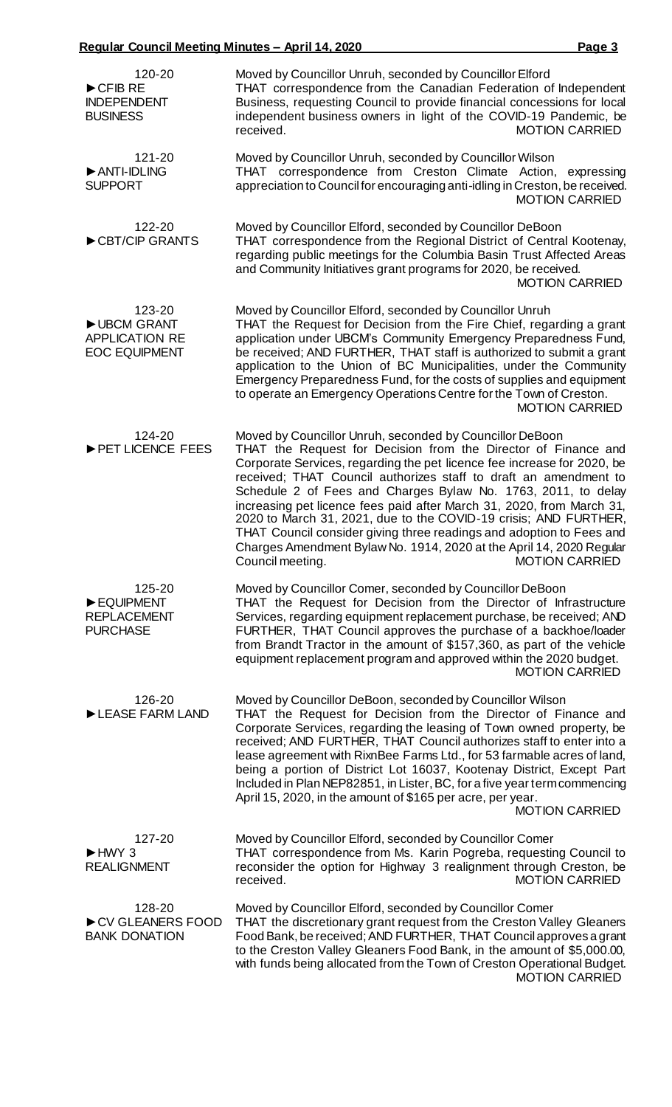| 120-20<br>$\triangleright$ CFIB RE<br><b>INDEPENDENT</b><br><b>BUSINESS</b> | Moved by Councillor Unruh, seconded by Councillor Elford<br>THAT correspondence from the Canadian Federation of Independent<br>Business, requesting Council to provide financial concessions for local<br>independent business owners in light of the COVID-19 Pandemic, be<br><b>MOTION CARRIED</b><br>received.                                                                                                                                                                                                                                                                                                                                                                    |
|-----------------------------------------------------------------------------|--------------------------------------------------------------------------------------------------------------------------------------------------------------------------------------------------------------------------------------------------------------------------------------------------------------------------------------------------------------------------------------------------------------------------------------------------------------------------------------------------------------------------------------------------------------------------------------------------------------------------------------------------------------------------------------|
| 121-20<br>ANTI-IDLING<br><b>SUPPORT</b>                                     | Moved by Councillor Unruh, seconded by Councillor Wilson<br>THAT correspondence from Creston Climate Action, expressing<br>appreciation to Council for encouraging anti-idling in Creston, be received.<br><b>MOTION CARRIED</b>                                                                                                                                                                                                                                                                                                                                                                                                                                                     |
| 122-20<br>CBT/CIP GRANTS                                                    | Moved by Councillor Elford, seconded by Councillor DeBoon<br>THAT correspondence from the Regional District of Central Kootenay,<br>regarding public meetings for the Columbia Basin Trust Affected Areas<br>and Community Initiatives grant programs for 2020, be received.<br><b>MOTION CARRIED</b>                                                                                                                                                                                                                                                                                                                                                                                |
| 123-20<br>UBCM GRANT<br><b>APPLICATION RE</b><br><b>EOC EQUIPMENT</b>       | Moved by Councillor Elford, seconded by Councillor Unruh<br>THAT the Request for Decision from the Fire Chief, regarding a grant<br>application under UBCM's Community Emergency Preparedness Fund,<br>be received; AND FURTHER, THAT staff is authorized to submit a grant<br>application to the Union of BC Municipalities, under the Community<br>Emergency Preparedness Fund, for the costs of supplies and equipment<br>to operate an Emergency Operations Centre for the Town of Creston.<br><b>MOTION CARRIED</b>                                                                                                                                                             |
| 124-20<br>PET LICENCE FEES                                                  | Moved by Councillor Unruh, seconded by Councillor DeBoon<br>THAT the Request for Decision from the Director of Finance and<br>Corporate Services, regarding the pet licence fee increase for 2020, be<br>received; THAT Council authorizes staff to draft an amendment to<br>Schedule 2 of Fees and Charges Bylaw No. 1763, 2011, to delay<br>increasing pet licence fees paid after March 31, 2020, from March 31,<br>2020 to March 31, 2021, due to the COVID-19 crisis; AND FURTHER,<br>THAT Council consider giving three readings and adoption to Fees and<br>Charges Amendment Bylaw No. 1914, 2020 at the April 14, 2020 Regular<br>Council meeting.<br><b>MOTION CARRIED</b> |
| 125-20<br>EQUIPMENT<br><b>REPLACEMENT</b><br><b>PURCHASE</b>                | Moved by Councillor Comer, seconded by Councillor DeBoon<br>THAT the Request for Decision from the Director of Infrastructure<br>Services, regarding equipment replacement purchase, be received; AND<br>FURTHER, THAT Council approves the purchase of a backhoe/loader<br>from Brandt Tractor in the amount of \$157,360, as part of the vehicle<br>equipment replacement program and approved within the 2020 budget.<br><b>MOTION CARRIED</b>                                                                                                                                                                                                                                    |
| 126-20<br>LEASE FARM LAND                                                   | Moved by Councillor DeBoon, seconded by Councillor Wilson<br>THAT the Request for Decision from the Director of Finance and<br>Corporate Services, regarding the leasing of Town owned property, be<br>received; AND FURTHER, THAT Council authorizes staff to enter into a<br>lease agreement with RixnBee Farms Ltd., for 53 farmable acres of land,<br>being a portion of District Lot 16037, Kootenay District, Except Part<br>Included in Plan NEP82851, in Lister, BC, for a five year term commencing<br>April 15, 2020, in the amount of \$165 per acre, per year.<br><b>MOTION CARRIED</b>                                                                                  |
| 127-20<br>$HWY$ 3<br><b>REALIGNMENT</b>                                     | Moved by Councillor Elford, seconded by Councillor Comer<br>THAT correspondence from Ms. Karin Pogreba, requesting Council to<br>reconsider the option for Highway 3 realignment through Creston, be<br><b>MOTION CARRIED</b><br>received.                                                                                                                                                                                                                                                                                                                                                                                                                                           |
| 128-20<br>CV GLEANERS FOOD<br><b>BANK DONATION</b>                          | Moved by Councillor Elford, seconded by Councillor Comer<br>THAT the discretionary grant request from the Creston Valley Gleaners<br>Food Bank, be received; AND FURTHER, THAT Council approves a grant                                                                                                                                                                                                                                                                                                                                                                                                                                                                              |

THAT the discretionary grant request from the Creston Valley Gleaners Food Bank, be received; AND FURTHER, THAT Council approves a grant to the Creston Valley Gleaners Food Bank, in the amount of \$5,000.00, with funds being allocated from the Town of Creston Operational Budget. MOTION CARRIED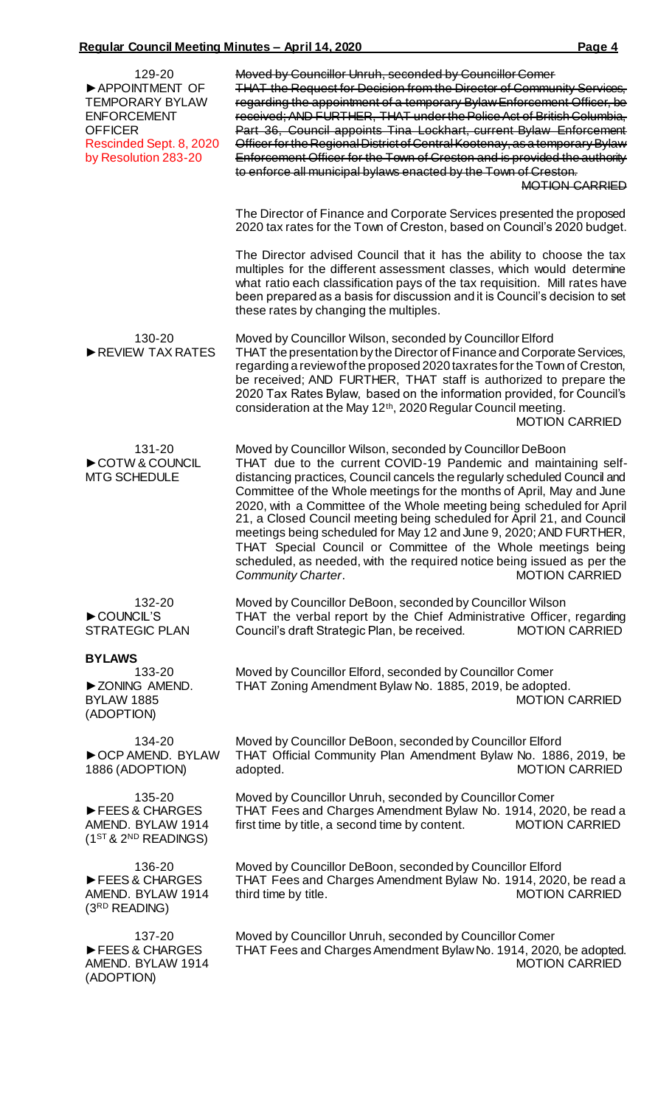| 129-20<br>APPOINTMENT OF<br><b>TEMPORARY BYLAW</b><br><b>ENFORCEMENT</b><br><b>OFFICER</b><br>Rescinded Sept. 8, 2020<br>by Resolution 283-20 | Moved by Councillor Unruh, seconded by Councillor Comer<br><b>THAT the Request for Decision from the Director of Community Services,</b><br>regarding the appointment of a temporary Bylaw Enforcement Officer, be<br>received; AND FURTHER, THAT under the Police Act of British Columbia,<br>Part 36, Council appoints Tina Lockhart, current Bylaw Enforcement<br>Officer for the Regional District of Central Kootenay, as a temporary Bylaw<br>Enforcement Officer for the Town of Creston and is provided the authority<br>to enforce all municipal bylaws enacted by the Town of Creston.<br><b>MOTION CARRIED</b>                                                                                    |
|-----------------------------------------------------------------------------------------------------------------------------------------------|--------------------------------------------------------------------------------------------------------------------------------------------------------------------------------------------------------------------------------------------------------------------------------------------------------------------------------------------------------------------------------------------------------------------------------------------------------------------------------------------------------------------------------------------------------------------------------------------------------------------------------------------------------------------------------------------------------------|
|                                                                                                                                               | The Director of Finance and Corporate Services presented the proposed<br>2020 tax rates for the Town of Creston, based on Council's 2020 budget.                                                                                                                                                                                                                                                                                                                                                                                                                                                                                                                                                             |
|                                                                                                                                               | The Director advised Council that it has the ability to choose the tax<br>multiples for the different assessment classes, which would determine<br>what ratio each classification pays of the tax requisition. Mill rates have<br>been prepared as a basis for discussion and it is Council's decision to set<br>these rates by changing the multiples.                                                                                                                                                                                                                                                                                                                                                      |
| 130-20<br>REVIEW TAX RATES                                                                                                                    | Moved by Councillor Wilson, seconded by Councillor Elford<br>THAT the presentation by the Director of Finance and Corporate Services,<br>regarding a review of the proposed 2020 tax rates for the Town of Creston,<br>be received; AND FURTHER, THAT staff is authorized to prepare the<br>2020 Tax Rates Bylaw, based on the information provided, for Council's<br>consideration at the May 12 <sup>th</sup> , 2020 Regular Council meeting.<br><b>MOTION CARRIED</b>                                                                                                                                                                                                                                     |
| 131-20<br>COTW & COUNCIL<br><b>MTG SCHEDULE</b>                                                                                               | Moved by Councillor Wilson, seconded by Councillor DeBoon<br>THAT due to the current COVID-19 Pandemic and maintaining self-<br>distancing practices, Council cancels the regularly scheduled Council and<br>Committee of the Whole meetings for the months of April, May and June<br>2020, with a Committee of the Whole meeting being scheduled for April<br>21, a Closed Council meeting being scheduled for April 21, and Council<br>meetings being scheduled for May 12 and June 9, 2020; AND FURTHER,<br>THAT Special Council or Committee of the Whole meetings being<br>scheduled, as needed, with the required notice being issued as per the<br><b>MOTION CARRIED</b><br><b>Community Charter.</b> |
| 132-20<br>COUNCIL'S<br><b>STRATEGIC PLAN</b>                                                                                                  | Moved by Councillor DeBoon, seconded by Councillor Wilson<br>THAT the verbal report by the Chief Administrative Officer, regarding<br>Council's draft Strategic Plan, be received.<br><b>MOTION CARRIED</b>                                                                                                                                                                                                                                                                                                                                                                                                                                                                                                  |
| <b>BYLAWS</b><br>133-20<br>EXONING AMEND.<br><b>BYLAW 1885</b><br>(ADOPTION)                                                                  | Moved by Councillor Elford, seconded by Councillor Comer<br>THAT Zoning Amendment Bylaw No. 1885, 2019, be adopted.<br><b>MOTION CARRIED</b>                                                                                                                                                                                                                                                                                                                                                                                                                                                                                                                                                                 |
| 134-20<br>CCP AMEND. BYLAW<br>1886 (ADOPTION)                                                                                                 | Moved by Councillor DeBoon, seconded by Councillor Elford<br>THAT Official Community Plan Amendment Bylaw No. 1886, 2019, be<br><b>MOTION CARRIED</b><br>adopted.                                                                                                                                                                                                                                                                                                                                                                                                                                                                                                                                            |
| 135-20<br>FEES & CHARGES<br>AMEND. BYLAW 1914<br>$(1ST & 2ND READING)$                                                                        | Moved by Councillor Unruh, seconded by Councillor Comer<br>THAT Fees and Charges Amendment Bylaw No. 1914, 2020, be read a<br>first time by title, a second time by content.<br><b>MOTION CARRIED</b>                                                                                                                                                                                                                                                                                                                                                                                                                                                                                                        |
| 136-20<br>FEES & CHARGES<br>AMEND. BYLAW 1914<br>(3 <sup>RD</sup> READING)                                                                    | Moved by Councillor DeBoon, seconded by Councillor Elford<br>THAT Fees and Charges Amendment Bylaw No. 1914, 2020, be read a<br>third time by title.<br><b>MOTION CARRIED</b>                                                                                                                                                                                                                                                                                                                                                                                                                                                                                                                                |
| 137-20<br>FEES & CHARGES<br>AMEND. BYLAW 1914<br>(ADOPTION)                                                                                   | Moved by Councillor Unruh, seconded by Councillor Comer<br>THAT Fees and Charges Amendment Bylaw No. 1914, 2020, be adopted.<br><b>MOTION CARRIED</b>                                                                                                                                                                                                                                                                                                                                                                                                                                                                                                                                                        |